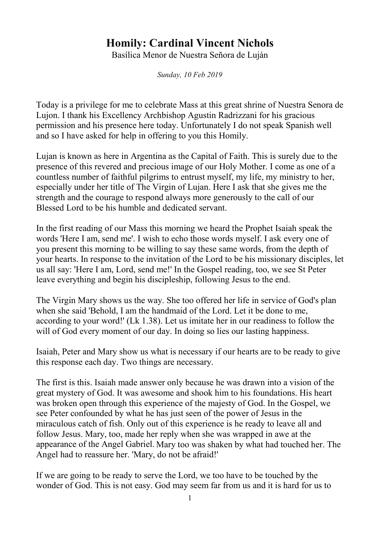## **Homily: Cardinal Vincent Nichols**

Basílica Menor de Nuestra Señora de Luján

*Sunday, 10 Feb 2019*

Today is a privilege for me to celebrate Mass at this great shrine of Nuestra Senora de Lujon. I thank his Excellency Archbishop Agustin Radrizzani for his gracious permission and his presence here today. Unfortunately I do not speak Spanish well and so I have asked for help in offering to you this Homily.

Lujan is known as here in Argentina as the Capital of Faith. This is surely due to the presence of this revered and precious image of our Holy Mother. I come as one of a countless number of faithful pilgrims to entrust myself, my life, my ministry to her, especially under her title of The Virgin of Lujan. Here I ask that she gives me the strength and the courage to respond always more generously to the call of our Blessed Lord to be his humble and dedicated servant.

In the first reading of our Mass this morning we heard the Prophet Isaiah speak the words 'Here I am, send me'. I wish to echo those words myself. I ask every one of you present this morning to be willing to say these same words, from the depth of your hearts. In response to the invitation of the Lord to be his missionary disciples, let us all say: 'Here I am, Lord, send me!' In the Gospel reading, too, we see St Peter leave everything and begin his discipleship, following Jesus to the end.

The Virgin Mary shows us the way. She too offered her life in service of God's plan when she said 'Behold, I am the handmaid of the Lord. Let it be done to me, according to your word!' (Lk 1.38). Let us imitate her in our readiness to follow the will of God every moment of our day. In doing so lies our lasting happiness.

Isaiah, Peter and Mary show us what is necessary if our hearts are to be ready to give this response each day. Two things are necessary.

The first is this. Isaiah made answer only because he was drawn into a vision of the great mystery of God. It was awesome and shook him to his foundations. His heart was broken open through this experience of the majesty of God. In the Gospel, we see Peter confounded by what he has just seen of the power of Jesus in the miraculous catch of fish. Only out of this experience is he ready to leave all and follow Jesus. Mary, too, made her reply when she was wrapped in awe at the appearance of the Angel Gabriel. Mary too was shaken by what had touched her. The Angel had to reassure her. 'Mary, do not be afraid!'

If we are going to be ready to serve the Lord, we too have to be touched by the wonder of God. This is not easy. God may seem far from us and it is hard for us to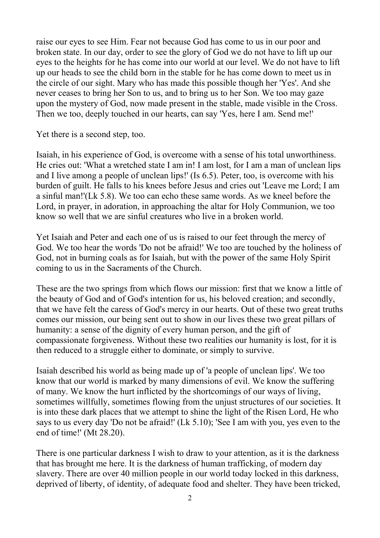raise our eyes to see Him. Fear not because God has come to us in our poor and broken state. In our day, order to see the glory of God we do not have to lift up our eyes to the heights for he has come into our world at our level. We do not have to lift up our heads to see the child born in the stable for he has come down to meet us in the circle of our sight. Mary who has made this possible though her 'Yes'. And she never ceases to bring her Son to us, and to bring us to her Son. We too may gaze upon the mystery of God, now made present in the stable, made visible in the Cross. Then we too, deeply touched in our hearts, can say 'Yes, here I am. Send me!'

Yet there is a second step, too.

Isaiah, in his experience of God, is overcome with a sense of his total unworthiness. He cries out: 'What a wretched state I am in! I am lost, for I am a man of unclean lips and I live among a people of unclean lips!' (Is 6.5). Peter, too, is overcome with his burden of guilt. He falls to his knees before Jesus and cries out 'Leave me Lord; I am a sinful man!'(Lk 5.8). We too can echo these same words. As we kneel before the Lord, in prayer, in adoration, in approaching the altar for Holy Communion, we too know so well that we are sinful creatures who live in a broken world.

Yet Isaiah and Peter and each one of us is raised to our feet through the mercy of God. We too hear the words 'Do not be afraid!' We too are touched by the holiness of God, not in burning coals as for Isaiah, but with the power of the same Holy Spirit coming to us in the Sacraments of the Church.

These are the two springs from which flows our mission: first that we know a little of the beauty of God and of God's intention for us, his beloved creation; and secondly, that we have felt the caress of God's mercy in our hearts. Out of these two great truths comes our mission, our being sent out to show in our lives these two great pillars of humanity: a sense of the dignity of every human person, and the gift of compassionate forgiveness. Without these two realities our humanity is lost, for it is then reduced to a struggle either to dominate, or simply to survive.

Isaiah described his world as being made up of 'a people of unclean lips'. We too know that our world is marked by many dimensions of evil. We know the suffering of many. We know the hurt inflicted by the shortcomings of our ways of living, sometimes willfully, sometimes flowing from the unjust structures of our societies. It is into these dark places that we attempt to shine the light of the Risen Lord, He who says to us every day 'Do not be afraid!' (Lk 5.10); 'See I am with you, yes even to the end of time!' (Mt 28.20).

There is one particular darkness I wish to draw to your attention, as it is the darkness that has brought me here. It is the darkness of human trafficking, of modern day slavery. There are over 40 million people in our world today locked in this darkness, deprived of liberty, of identity, of adequate food and shelter. They have been tricked,